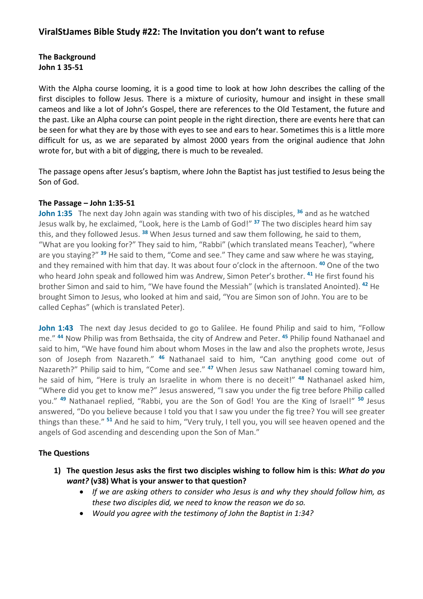### **The Background John 1 35-51**

With the Alpha course looming, it is a good time to look at how John describes the calling of the first disciples to follow Jesus. There is a mixture of curiosity, humour and insight in these small cameos and like a lot of John's Gospel, there are references to the Old Testament, the future and the past. Like an Alpha course can point people in the right direction, there are events here that can be seen for what they are by those with eyes to see and ears to hear. Sometimes this is a little more difficult for us, as we are separated by almost 2000 years from the original audience that John wrote for, but with a bit of digging, there is much to be revealed.

The passage opens after Jesus's baptism, where John the Baptist has just testified to Jesus being the Son of God.

#### **The Passage – John 1:35-51**

**John 1:35** The next day John again was standing with two of his disciples, **<sup>36</sup>** and as he watched Jesus walk by, he exclaimed, "Look, here is the Lamb of God!" **<sup>37</sup>** The two disciples heard him say this, and they followed Jesus. **<sup>38</sup>** When Jesus turned and saw them following, he said to them, "What are you looking for?" They said to him, "Rabbi" (which translated means Teacher), "where are you staying?" **<sup>39</sup>** He said to them, "Come and see." They came and saw where he was staying, and they remained with him that day. It was about four o'clock in the afternoon. **<sup>40</sup>** One of the two who heard John speak and followed him was Andrew, Simon Peter's brother. **<sup>41</sup>** He first found his brother Simon and said to him, "We have found the Messiah" (which is translated Anointed). **<sup>42</sup>** He brought Simon to Jesus, who looked at him and said, "You are Simon son of John. You are to be called Cephas" (which is translated Peter).

John 1:43 The next day Jesus decided to go to Galilee. He found Philip and said to him, "Follow me." **<sup>44</sup>** Now Philip was from Bethsaida, the city of Andrew and Peter. **<sup>45</sup>** Philip found Nathanael and said to him, "We have found him about whom Moses in the law and also the prophets wrote, Jesus son of Joseph from Nazareth." **<sup>46</sup>** Nathanael said to him, "Can anything good come out of Nazareth?" Philip said to him, "Come and see." **<sup>47</sup>** When Jesus saw Nathanael coming toward him, he said of him, "Here is truly an Israelite in whom there is no deceit!" **<sup>48</sup>** Nathanael asked him, "Where did you get to know me?" Jesus answered, "I saw you under the fig tree before Philip called you." **<sup>49</sup>** Nathanael replied, "Rabbi, you are the Son of God! You are the King of Israel!" **<sup>50</sup>** Jesus answered, "Do you believe because I told you that I saw you under the fig tree? You will see greater things than these." **<sup>51</sup>** And he said to him, "Very truly, I tell you, you will see heaven opened and the angels of God ascending and descending upon the Son of Man."

#### **The Questions**

- **1) The question Jesus asks the first two disciples wishing to follow him is this:** *What do you want?* **(v38) What is your answer to that question?** 
	- *If we are asking others to consider who Jesus is and why they should follow him, as these two disciples did, we need to know the reason we do so.*
	- *Would you agree with the testimony of John the Baptist in 1:34?*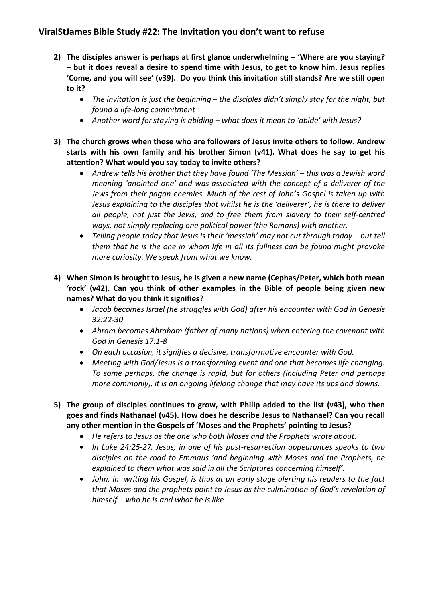# **ViralStJames Bible Study #22: The Invitation you don't want to refuse**

- **2) The disciples answer is perhaps at first glance underwhelming – 'Where are you staying? – but it does reveal a desire to spend time with Jesus, to get to know him. Jesus replies 'Come, and you will see' (v39). Do you think this invitation still stands? Are we still open to it?**
	- *The invitation is just the beginning – the disciples didn't simply stay for the night, but found a life-long commitment*
	- *Another word for staying is abiding – what does it mean to 'abide' with Jesus?*
- **3) The church grows when those who are followers of Jesus invite others to follow. Andrew starts with his own family and his brother Simon (v41). What does he say to get his attention? What would you say today to invite others?**
	- *Andrew tells his brother that they have found 'The Messiah' – this was a Jewish word meaning 'anointed one' and was associated with the concept of a deliverer of the Jews from their pagan enemies. Much of the rest of John's Gospel is taken up with Jesus explaining to the disciples that whilst he is the 'deliverer', he is there to deliver all people, not just the Jews, and to free them from slavery to their self-centred ways, not simply replacing one political power (the Romans) with another.*
	- *Telling people today that Jesus is their 'messiah' may not cut through today – but tell them that he is the one in whom life in all its fullness can be found might provoke more curiosity. We speak from what we know.*
- **4) When Simon is brought to Jesus, he is given a new name (Cephas/Peter, which both mean 'rock' (v42). Can you think of other examples in the Bible of people being given new names? What do you think it signifies?**
	- *Jacob becomes Israel (he struggles with God) after his encounter with God in Genesis 32:22-30*
	- *Abram becomes Abraham (father of many nations) when entering the covenant with God in Genesis 17:1-8*
	- *On each occasion, it signifies a decisive, transformative encounter with God.*
	- *Meeting with God/Jesus is a transforming event and one that becomes life changing. To some perhaps, the change is rapid, but for others (including Peter and perhaps more commonly), it is an ongoing lifelong change that may have its ups and downs.*
- **5) The group of disciples continues to grow, with Philip added to the list (v43), who then goes and finds Nathanael (v45). How does he describe Jesus to Nathanael? Can you recall any other mention in the Gospels of 'Moses and the Prophets' pointing to Jesus?**
	- *He refers to Jesus as the one who both Moses and the Prophets wrote about.*
	- *In Luke 24:25-27, Jesus, in one of his post-resurrection appearances speaks to two disciples on the road to Emmaus 'and beginning with Moses and the Prophets, he explained to them what was said in all the Scriptures concerning himself'.*
	- *John, in writing his Gospel, is thus at an early stage alerting his readers to the fact that Moses and the prophets point to Jesus as the culmination of God's revelation of himself – who he is and what he is like*